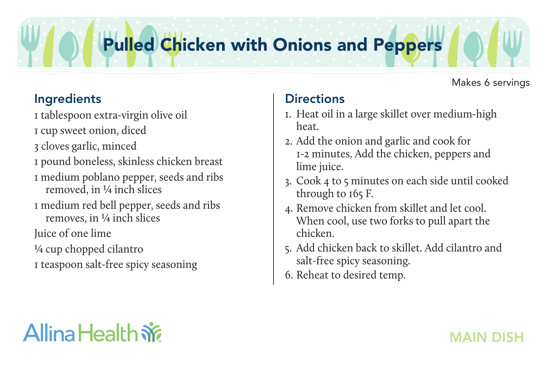# Pulled Chicken with Onions and Peppers

## Ingredients

1 tablespoon extra-virgin olive oil

- 1 cup sweet onion, diced
- 3 cloves garlic, minced
- 1 pound boneless, skinless chicken breast
- 1 medium poblano pepper, seeds and ribs removed, in ¼ inch slices
- 1 medium red bell pepper, seeds and ribs removes, in ¼ inch slices
- Juice of one lime
- ¼ cup chopped cilantro
- 1 teaspoon salt-free spicy seasoning

### Makes 6 servings

## **Directions**

- 1. Heat oil in a large skillet over medium-high heat.
- 2. Add the onion and garlic and cook for 1-2 minutes. Add the chicken, peppers and lime juice.
- 3. Cook 4 to 5 minutes on each side until cooked through to 165 F.
- 4. Remove chicken from skillet and let cool. When cool, use two forks to pull apart the chicken.
- 5. Add chicken back to skillet. Add cilantro and salt-free spicy seasoning.
- 6. Reheat to desired temp.

# Allina Health  $\dot{\mathbf{w}}$

## MAIN DISH